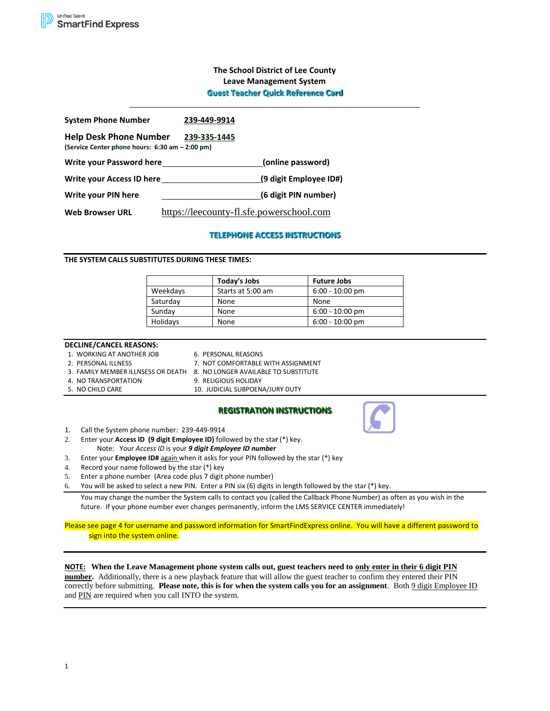# **The School District of Lee County Leave Management System Guest Teacher Quick Reference Card**

| <b>System Phone Number</b>                                                       | 239-449-9914                             |                        |
|----------------------------------------------------------------------------------|------------------------------------------|------------------------|
| <b>Help Desk Phone Number</b><br>(Service Center phone hours: 6:30 am - 2:00 pm) | 239-335-1445                             |                        |
| Write your Password here                                                         |                                          | (online password)      |
| Write your Access ID here                                                        |                                          | (9 digit Employee ID#) |
| Write your PIN here                                                              |                                          | (6 digit PIN number)   |
| <b>Web Browser URL</b>                                                           | https://leecounty-fl.sfe.powerschool.com |                        |

# **TELEPHONE ACCESS INSTRUCTIONS**

## **THE SYSTEM CALLS SUBSTITUTES DURING THESE TIMES:**

|          | Today's Jobs      | <b>Future Jobs</b> |
|----------|-------------------|--------------------|
| Weekdays | Starts at 5:00 am | $6:00 - 10:00$ pm  |
| Saturday | None              | None               |
| Sunday   | None              | $6:00 - 10:00$ pm  |
| Holidays | None              | $6:00 - 10:00$ pm  |

### **DECLINE/CANCEL REASONS:**

| 1. WORKING AT ANOTHER JOB |
|---------------------------|
| 2 PERSONAL ILINESS        |

6. PERSONAL REASONS 7. NOT COMFORTABLE WITH ASSIGNMENT

- 3. FAMILY MEMBER ILLNSESS OR DEATH 8. NO LONGER AVAILABLE TO SUBSTITUTE
- 
- 
- 4. NO TRANSPORTATION 9. RELIGIOUS HOLIDAY<br>5. NO CHILD CARE 10. JUDICIAL SUBPOEN 10. JUDICIAL SUBPOENA/JURY DUTY

## **REGISTRATION INSTRUCTIONS**

- 1. Call the System phone number: 239-449-9914
- 2. Enter your **Access ID (9 digit Employee ID)** followed by the sta**r** (\*) key. Note: Your *Access ID* is your *9 digit Employee ID number*
- 3. Enter your **Employee ID#** again when it asks for your PIN followed by the star (\*) key
- 4. Record your name followed by the star (\*) key
- 5. Enter a phone number (Area code plus 7 digit phone number)
- 6. You will be asked to select a new PIN. Enter a PIN six (6) digits in length followed by the star (\*) key.

You may change the number the System calls to contact you (called the Callback Phone Number) as often as you wish in the future. If your phone number ever changes permanently, inform the LMS SERVICE CENTER immediately!

Please see page 4 for username and password information for SmartFindExpress online. You will have a different password to sign into the system online.

# **NOTE: When the Leave Management phone system calls out, guest teachers need to only enter in their 6 digit PIN**

**number.** Additionally, there is a new playback feature that will allow the guest teacher to confirm they entered their PIN correctly before submitting. **Please note, this is for when the system calls you for an assignment**. Both 9 digit Employee ID and PIN are required when you call INTO the system.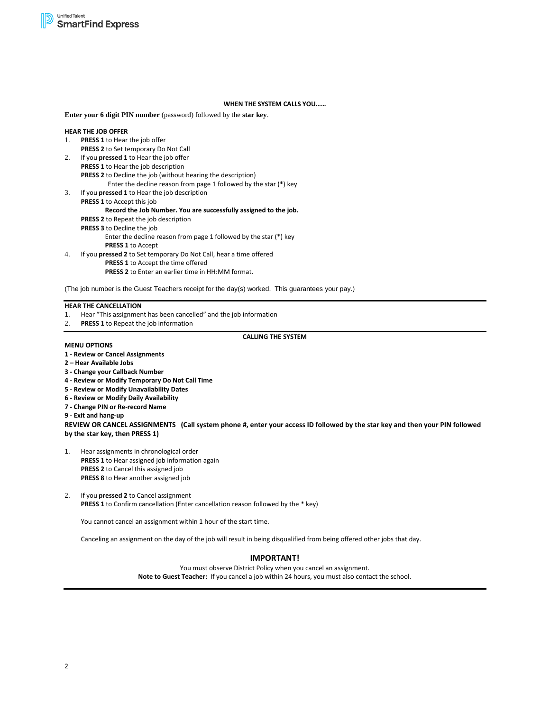### **WHEN THE SYSTEM CALLS YOU……**

**Enter your 6 digit PIN number** (password) followed by the **star key**.

#### **HEAR THE JOB OFFER**

- 1. **PRESS 1** to Hear the job offer
- **PRESS 2** to Set temporary Do Not Call
- 2. If you **pressed 1** to Hear the job offer **PRESS 1** to Hear the job description **PRESS 2** to Decline the job (without hearing the description)
	- Enter the decline reason from page 1 followed by the star (\*) key
- 3. If you **pressed 1** to Hear the job description **PRESS 1** to Accept this job

#### **Record the Job Number. You are successfully assigned to the job.**

**PRESS 2** to Repeat the job description

**PRESS 3** to Decline the job

Enter the decline reason from page 1 followed by the star (\*) key **PRESS 1** to Accept

4. If you **pressed 2** to Set temporary Do Not Call, hear a time offered **PRESS 1** to Accept the time offered

**PRESS 2** to Enter an earlier time in HH:MM format.

(The job number is the Guest Teachers receipt for the day(s) worked. This guarantees your pay.)

### **HEAR THE CANCELLATION**

- 1. Hear "This assignment has been cancelled" and the job information
- 2. **PRESS 1** to Repeat the job information

# **CALLING THE SYSTEM**

#### **MENU OPTIONS**

- **1 - Review or Cancel Assignments**
- **2 – Hear Available Jobs**
- **3 - Change your Callback Number**
- **4 - Review or Modify Temporary Do Not Call Time**
- **5 - Review or Modify Unavailability Dates**
- **6 - Review or Modify Daily Availability**
- **7 - Change PIN or Re-record Name**

**9 - Exit and hang-up**

**REVIEW OR CANCEL ASSIGNMENTS (Call system phone #, enter your access ID followed by the star key and then your PIN followed by the star key, then PRESS 1)**

- 1. Hear assignments in chronological order **PRESS 1** to Hear assigned job information again **PRESS 2** to Cancel this assigned job **PRESS 8** to Hear another assigned job
- 2. If you **pressed 2** to Cancel assignment **PRESS 1** to Confirm cancellation (Enter cancellation reason followed by the \* key)

You cannot cancel an assignment within 1 hour of the start time.

Canceling an assignment on the day of the job will result in being disqualified from being offered other jobs that day.

# **IMPORTANT!**

You must observe District Policy when you cancel an assignment. **Note to Guest Teacher:** If you cancel a job within 24 hours, you must also contact the school.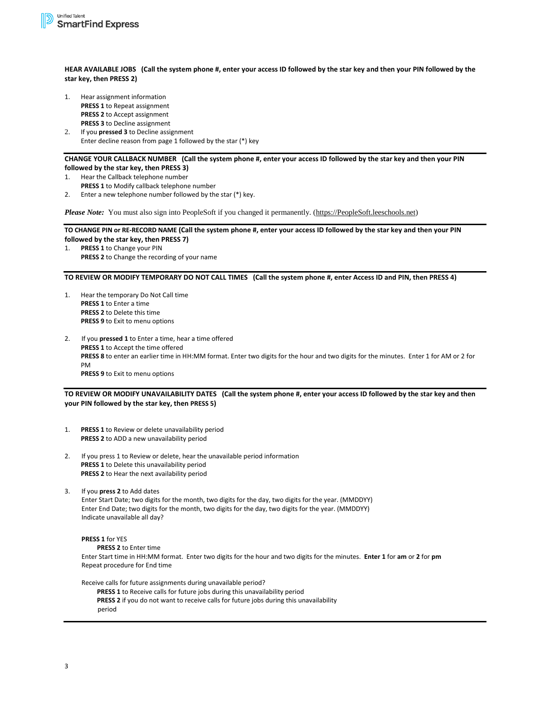**HEAR AVAILABLE JOBS (Call the system phone #, enter your access ID followed by the star key and then your PIN followed by the star key, then PRESS 2)**

- 1. Hear assignment information **PRESS 1** to Repeat assignment **PRESS 2** to Accept assignment **PRESS 3** to Decline assignment
- 2. If you **pressed 3** to Decline assignment Enter decline reason from page 1 followed by the star (\*) key

### **CHANGE YOUR CALLBACK NUMBER (Call the system phone #, enter your access ID followed by the star key and then your PIN followed by the star key, then PRESS 3)**

- 1. Hear the Callback telephone number
- **PRESS 1** to Modify callback telephone number
- 2. Enter a new telephone number followed by the star (\*) key.

*Please Note:* You must also sign into PeopleSoft if you changed it permanently. [\(https://PeopleSoft.leeschools.net\)](https://peoplesoft.leeschools.net/)

### **TO CHANGE PIN or RE-RECORD NAME (Call the system phone #, enter your access ID followed by the star key and then your PIN followed by the star key, then PRESS 7)**

1. **PRESS 1** to Change your PIN **PRESS 2** to Change the recording of your name

### **TO REVIEW OR MODIFY TEMPORARY DO NOT CALL TIMES (Call the system phone #, enter Access ID and PIN, then PRESS 4)**

1. Hear the temporary Do Not Call time **PRESS 1** to Enter a time **PRESS 2** to Delete this time **PRESS 9** to Exit to menu options

2. If you **pressed 1** to Enter a time, hear a time offered **PRESS 1** to Accept the time offered **PRESS 8** to enter an earlier time in HH:MM format. Enter two digits for the hour and two digits for the minutes. Enter 1 for AM or 2 for PM **PRESS 9** to Exit to menu options

# **TO REVIEW OR MODIFY UNAVAILABILITY DATES (Call the system phone #, enter your access ID followed by the star key and then your PIN followed by the star key, then PRESS 5)**

- 1. **PRESS 1** to Review or delete unavailability period **PRESS 2** to ADD a new unavailability period
- 2. If you press 1 to Review or delete, hear the unavailable period information **PRESS 1** to Delete this unavailability period **PRESS 2** to Hear the next availability period
- 3. If you **press 2** to Add dates Enter Start Date; two digits for the month, two digits for the day, two digits for the year. (MMDDYY)

# Enter End Date; two digits for the month, two digits for the day, two digits for the year. (MMDDYY) Indicate unavailable all day?

# **PRESS 1** for YES

**PRESS 2** to Enter time

Enter Start time in HH:MM format. Enter two digits for the hour and two digits for the minutes. **Enter 1** for **am** or **2** for **pm** Repeat procedure for End time

- Receive calls for future assignments during unavailable period?
	- **PRESS 1** to Receive calls for future jobs during this unavailability period

**PRESS 2** if you do not want to receive calls for future jobs during this unavailability period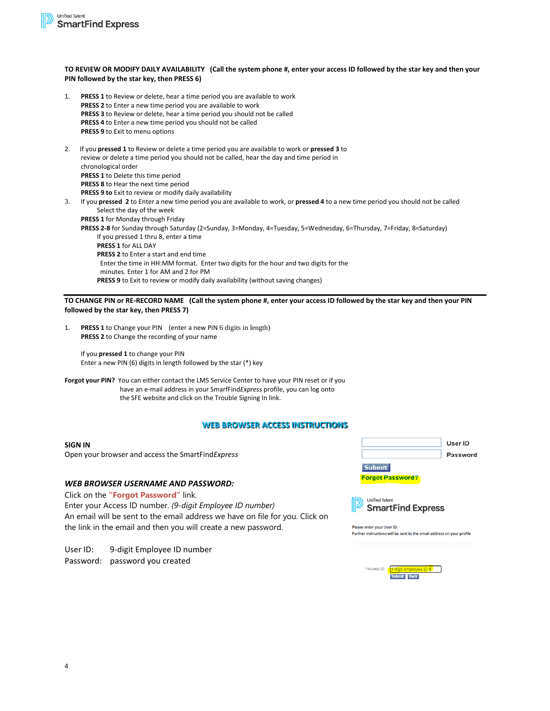# **TO REVIEW OR MODIFY DAILY AVAILABILITY (Call the system phone #, enter your access ID followed by the star key and then your PIN followed by the star key, then PRESS 6)**

- 1. **PRESS 1** to Review or delete, hear a time period you are available to work **PRESS 2** to Enter a new time period you are available to work **PRESS 3** to Review or delete, hear a time period you should not be called **PRESS 4** to Enter a new time period you should not be called **PRESS 9** to Exit to menu options
- 2. If you **pressed 1** to Review or delete a time period you are available to work or **pressed 3** to review or delete a time period you should not be called, hear the day and time period in chronological order **PRESS 1** to Delete this time period **PRESS 8** to Hear the next time period **PRESS 9 to** Exit to review or modify daily availability
- 3. If you **pressed 2** to Enter a new time period you are available to work, or **pressed 4** to a new time period you should not be called Select the day of the week
	- **PRESS 1** for Monday through Friday
	- **PRESS 2-8** for Sunday through Saturday (2=Sunday, 3=Monday, 4=Tuesday, 5=Wednesday, 6=Thursday, 7=Friday, 8=Saturday) If you pressed 1 thru 8, enter a time **PRESS 1** for ALL DAY **PRESS 2** to Enter a start and end time Enter the time in HH:MM format. Enter two digits for the hour and two digits for the minutes. Enter 1 for AM and 2 for PM **PRESS 9** to Exit to review or modify daily availability (without saving changes)

**TO CHANGE PIN or RE-RECORD NAME (Call the system phone #, enter your access ID followed by the star key and then your PIN followed by the star key, then PRESS 7)**

1. **PRESS 1** to Change your PIN (enter a new PIN 6 digits in length) **PRESS 2** to Change the recording of your name

If you **pressed 1** to change your PIN Enter a new PIN (6) digits in length followed by the star (\*) key

**Forgot your PIN?** You can either contact the LMS Service Center to have your PIN reset or if you have an e-mail address in your SmarfFind*Express* profile, you can log onto the SFE website and click on the Trouble Signing In link.

# **WEB BROWSER ACCESS INSTRUCTIONS**

**SIGN IN** Open your browser and access the SmartFind*Express*

# *WEB BROWSER USERNAME AND PASSWORD:*

Click on the **"Forgot Password"** link. Enter your Access ID number. *(9-digit Employee ID number)*  An email will be sent to the email address we have on file for you. Click on the link in the email and then you will create a new password.

User ID: 9-digit Employee ID number Password: password you created





Please enter your User ID. Further instructions will be sent to the email address on your profile

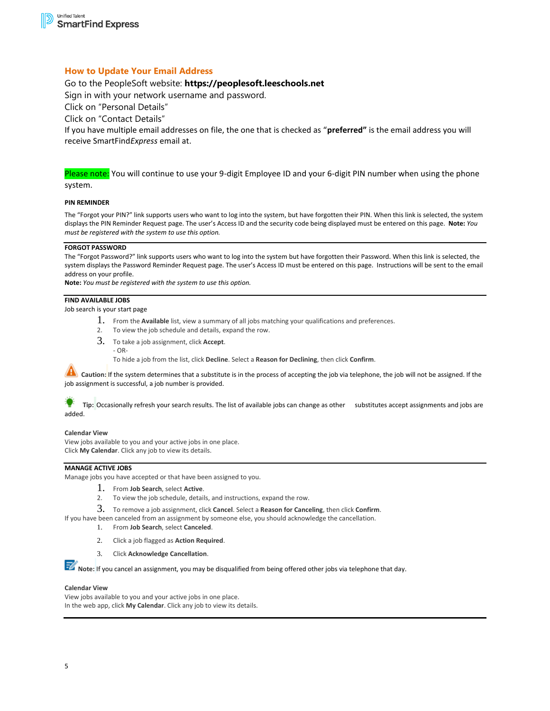# **How to Update Your Email Address**

# Go to the PeopleSoft website: **https://peoplesoft.leeschools.net**

Sign in with your network username and password.

Click on "Personal Details"

Click on "Contact Details"

If you have multiple email addresses on file, the one that is checked as "**preferred"** is the email address you will receive SmartFind*Express* email at.

Please note: You will continue to use your 9-digit Employee ID and your 6-digit PIN number when using the phone system.

### **PIN REMINDER**

The "Forgot your PIN?" link supports users who want to log into the system, but have forgotten their PIN. When this link is selected, the system displays the PIN Reminder Request page. The user's Access ID and the security code being displayed must be entered on this page. **Note:** *You must be registered with the system to use this option.*

### **FORGOT PASSWORD**

The "Forgot Password?" link supports users who want to log into the system but have forgotten their Password. When this link is selected, the system displays the Password Reminder Request page. The user's Access ID must be entered on this page. Instructions will be sent to the email address on your profile.

**Note:** *You must be registered with the system to use this option.*

### **FIND AVAILABLE JOBS**

Job search is your start page

- 1. From the **Available** list, view a summary of all jobs matching your qualifications and preferences.
- 2. To view the job schedule and details, expand the row.
- 3. To take a job assignment, click **Accept**.  $-$  OR-

To hide a job from the list, click **Decline**. Select a **Reason for Declining**, then click **Confirm**.

**AL** Caution: If the system determines that a substitute is in the process of accepting the job via telephone, the job will not be assigned. If the job assignment is successful, a job number is provided.

 **Tip:** Occasionally refresh your search results. The list of available jobs can change as other substitutes accept assignments and jobs are added.

#### **Calendar View**

View jobs available to you and your active jobs in one place. Click **My Calendar**. Click any job to view its details.

# **MANAGE ACTIVE JOBS**

Manage jobs you have accepted or that have been assigned to you.

- 1. From **Job Search**, select **Active**.
- 2. To view the job schedule, details, and instructions, expand the row.
- 3. To remove a job assignment, click **Cancel**. Select a **Reason for Canceling**, then click **Confirm**.

If you have been canceled from an assignment by someone else, you should acknowledge the cancellation.

1. From **Job Search**, select **Canceled**.

- 2. Click a job flagged as **Action Required**.
- 3. Click **Acknowledge Cancellation**.

**Note:** If you cancel an assignment, you may be disqualified from being offered other jobs via telephone that day.

#### **Calendar View**

View jobs available to you and your active jobs in one place. In the web app, click **My Calendar**. Click any job to view its details.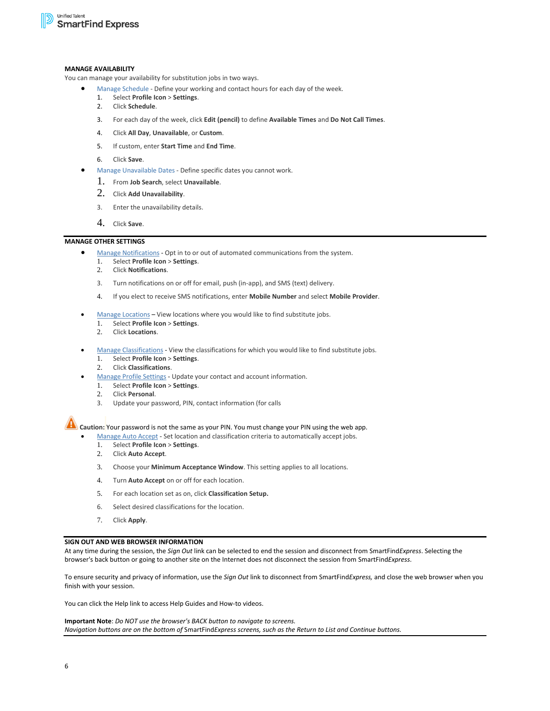### **MANAGE AVAILABILITY**

You can manage your availability for substitution jobs in two ways.

- [Manage Schedule](https://docs.powerschool.com/AMSH/manage-availability/manage-schedule) Define your working and contact hours for each day of the week.<br>1 Select Profile Icon > Settings
	- 1. Select **Profile Icon** > **Settings**.
	- 2. Click **Schedule**.
	- 3. For each day of the week, click **Edit (pencil)** to define **Available Times** and **Do Not Call Times**.
	- 4. Click **All Day**, **Unavailable**, or **Custom**.
	- 5. If custom, enter **Start Time** and **End Time**.
	- 6. Click **Save**.
- [Manage Unavailable Dates](https://docs.powerschool.com/AMSH/manage-availability/manage-unavailable-dates) Define specific dates you cannot work.
	- 1. From **Job Search**, select **Unavailable**.
	- 2. Click **Add Unavailability**.
	- 3. Enter the unavailability details.
	- 4. Click **Save**.

## **MANAGE OTHER SETTINGS**

- [Manage Notifications](https://docs.powerschool.com/AMSH/manage-other-settings/manage-notifications) Opt in to or out of automated communications from the system.
	- 1. Select **Profile Icon** > **Settings**.
	- 2. Click **Notifications**.
	- 3. Turn notifications on or off for email, push (in-app), and SMS (text) delivery.
	- 4. If you elect to receive SMS notifications, enter **Mobile Number** and select **Mobile Provider**.
- [Manage Locations](https://docs.powerschool.com/AMSH/manage-other-settings/manage-locations) View locations where you would like to find substitute jobs.
	- 1. Select **Profile Icon** > **Settings**.
	- 2. Click **Locations**.
- [Manage Classifications](https://docs.powerschool.com/AMSH/manage-other-settings/manage-classifications) View the classifications for which you would like to find substitute jobs.
	- 1. Select **Profile Icon** > **Settings**.
	- 2. Click **Classifications**.
- [Manage Profile Settings](https://docs.powerschool.com/AMSH/manage-other-settings/manage-profile-settings) Update your contact and account information.
	- 1. Select **Profile Icon** > **Settings**.
	- 2. Click **Personal**.
	- 3. Update your password, PIN, contact information (for calls

**Caution:** Your password is not the same as your PIN. You must change your PIN using the web app.

- [Manage Auto Accept](https://docs.powerschool.com/AMSH/manage-other-settings/manage-auto-accept) Set location and classification criteria to automatically accept jobs.
	- 1. Select **Profile Icon** > **Settings**.
	- 2. Click **Auto Accept**.
	- 3. Choose your **Minimum Acceptance Window**. This setting applies to all locations.
	- 4. Turn **Auto Accept** on or off for each location.
	- 5. For each location set as on, click **Classification Setup.**
	- 6. Select desired classifications for the location.
	- 7. Click **Apply**.

### **SIGN OUT AND WEB BROWSER INFORMATION**

At any time during the session, the *Sign Out* link can be selected to end the session and disconnect from SmartFind*Express*. Selecting the browser's back button or going to another site on the Internet does not disconnect the session from SmartFind*Express*.

To ensure security and privacy of information, use the *Sign Out* link to disconnect from SmartFind*Express,* and close the web browser when you finish with your session.

You can click the Help link to access Help Guides and How-to videos.

**Important Note**: *Do NOT use the browser's BACK button to navigate to screens. Navigation buttons are on the bottom of* SmartFind*Express screens, such as the Return to List and Continue buttons.*